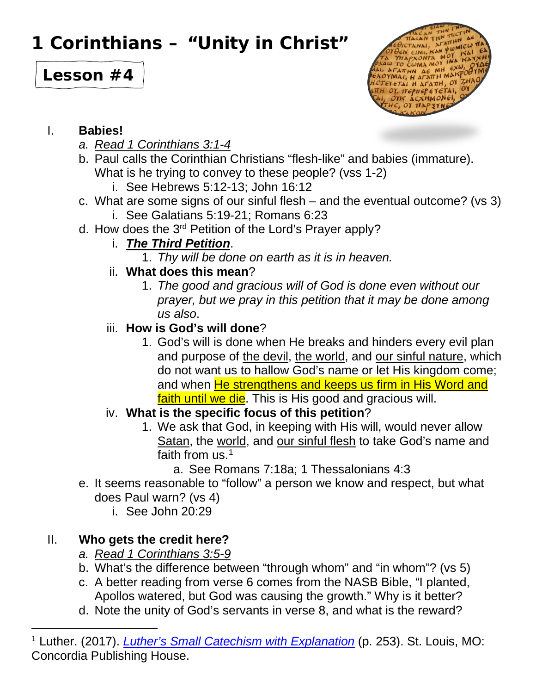# **1 Corinthians – "Unity in Christ"**

# **Lesson #4**



#### I. **Babies!**

- *a. Read 1 Corinthians 3:1-4*
- b. Paul calls the Corinthian Christians "flesh-like" and babies (immature). What is he trying to convey to these people? (vss 1-2)
	- i. See Hebrews 5:12-13; John 16:12
- c. What are some signs of our sinful flesh and the eventual outcome? (vs 3) i. See Galatians 5:19-21; Romans 6:23
- d. How does the 3<sup>rd</sup> Petition of the Lord's Prayer apply?

### i. *The Third Petition*.

- 1. *Thy will be done on earth as it is in heaven.*
- ii. **What does this mean**?
	- 1. *The good and gracious will of God is done even without our prayer, but we pray in this petition that it may be done among us also*.

### iii. **How is God's will done**?

- 1. God's will is done when He breaks and hinders every evil plan and purpose of the devil, the world, and our sinful nature, which do not want us to hallow God's name or let His kingdom come; and when **He strengthens and keeps us firm in His Word and** faith until we die. This is His good and gracious will.
- iv. **What is the specific focus of this petition**?
	- 1. We ask that God, in keeping with His will, would never allow Satan, the world, and our sinful flesh to take God's name and faith from us.<sup>[1](#page-0-0)</sup>
		- a. See Romans 7:18a; 1 Thessalonians 4:3
- e. It seems reasonable to "follow" a person we know and respect, but what does Paul warn? (vs 4)
	- i. See John 20:29

## II. **Who gets the credit here?**

- *a. Read 1 Corinthians 3:5-9*
- b. What's the difference between "through whom" and "in whom"? (vs 5)
- c. A better reading from verse 6 comes from the NASB Bible, "I planted, Apollos watered, but God was causing the growth." Why is it better?
- d. Note the unity of God's servants in verse 8, and what is the reward?

<span id="page-0-0"></span><sup>1</sup> Luther. (2017). *[Luther's Small Catechism with Explanation](https://ref.ly/logosres/lutsmcat2017?ref=Page.p+253&off=761&ctx=our+sanctification.%0a%7E262.+What+is+the+spe)* (p. 253). St. Louis, MO: Concordia Publishing House.